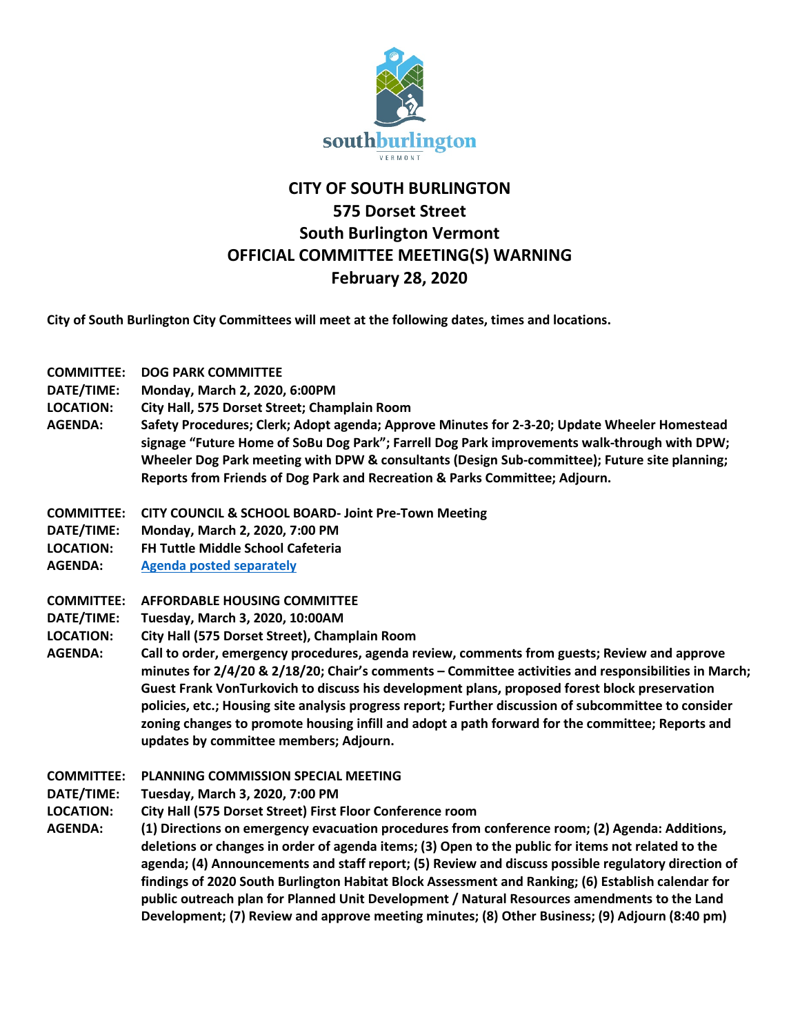

## **CITY OF SOUTH BURLINGTON 575 Dorset Street South Burlington Vermont OFFICIAL COMMITTEE MEETING(S) WARNING February 28, 2020**

**City of South Burlington City Committees will meet at the following dates, times and locations.** 

- **COMMITTEE: DOG PARK COMMITTEE**
- **DATE/TIME: Monday, March 2, 2020, 6:00PM**
- **LOCATION: City Hall, 575 Dorset Street; Champlain Room**
- **AGENDA: Safety Procedures; Clerk; Adopt agenda; Approve Minutes for 2-3-20; Update Wheeler Homestead signage "Future Home of SoBu Dog Park"; Farrell Dog Park improvements walk-through with DPW; Wheeler Dog Park meeting with DPW & consultants (Design Sub-committee); Future site planning; Reports from Friends of Dog Park and Recreation & Parks Committee; Adjourn.**
- **COMMITTEE: CITY COUNCIL & SCHOOL BOARD- Joint Pre-Town Meeting**
- **DATE/TIME: Monday, March 2, 2020, 7:00 PM**
- **LOCATION: FH Tuttle Middle School Cafeteria**
- **AGENDA: [Agenda posted separately](http://cms6.revize.com/revize/southburlington/3-2-2020%20Town%20Meeting%20Agenda.pdf)**

## **COMMITTEE: AFFORDABLE HOUSING COMMITTEE**

- **DATE/TIME: Tuesday, March 3, 2020, 10:00AM**
- **LOCATION: City Hall (575 Dorset Street), Champlain Room**
- **AGENDA: Call to order, emergency procedures, agenda review, comments from guests; Review and approve minutes for 2/4/20 & 2/18/20; Chair's comments – Committee activities and responsibilities in March; Guest Frank VonTurkovich to discuss his development plans, proposed forest block preservation policies, etc.; Housing site analysis progress report; Further discussion of subcommittee to consider zoning changes to promote housing infill and adopt a path forward for the committee; Reports and updates by committee members; Adjourn.**
- **COMMITTEE: PLANNING COMMISSION SPECIAL MEETING**
- **DATE/TIME: Tuesday, March 3, 2020, 7:00 PM**
- **LOCATION: City Hall (575 Dorset Street) First Floor Conference room**
- **AGENDA: (1) Directions on emergency evacuation procedures from conference room; (2) Agenda: Additions, deletions or changes in order of agenda items; (3) Open to the public for items not related to the agenda; (4) Announcements and staff report; (5) Review and discuss possible regulatory direction of findings of 2020 South Burlington Habitat Block Assessment and Ranking; (6) Establish calendar for public outreach plan for Planned Unit Development / Natural Resources amendments to the Land Development; (7) Review and approve meeting minutes; (8) Other Business; (9) Adjourn (8:40 pm)**